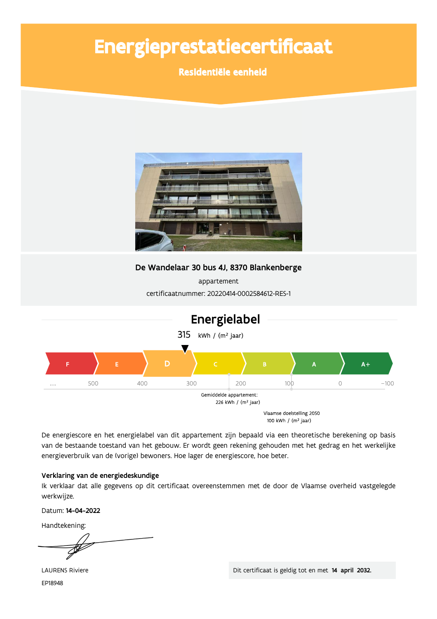# Energieprestatiecertificaat

Residentiële eenheid



100 kWh / (m<sup>2</sup> jaar)

De energiescore en het energielabel van dit appartement zijn bepaald via een theoretische berekening op basis van de bestaande toestand van het gebouw. Er wordt geen rekening gehouden met het gedrag en het werkelijke energieverbruik van de (vorige) bewoners. Hoe lager de energiescore, hoe beter.

### Verklaring van de energiedeskundige

Ik verklaar dat alle gegevens op dit certificaat overeenstemmen met de door de Vlaamse overheid vastgelegde werkwijze.

Datum: 14-04-2022

Handtekening:

**LAURENS Riviere** EP18948

Dit certificaat is geldig tot en met 14 april 2032.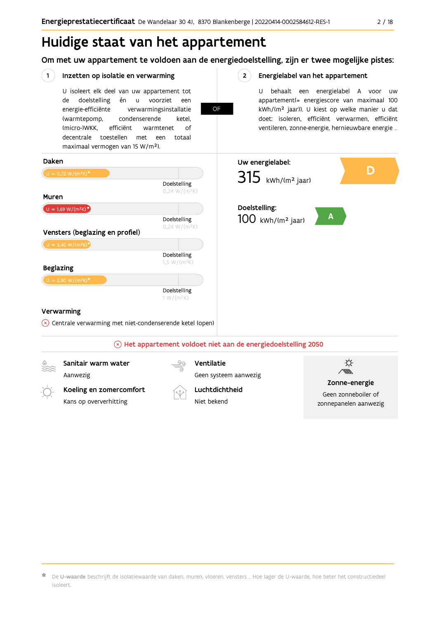zonnepanelen aanwezig

# Huidige staat van het appartement

Om met uw appartement te voldoen aan de energiedoelstelling, zijn er twee mogelijke pistes:



Niet hekend

Kans op oververhitting

 $\star$  De **U-waarde** beschrijft de isolatiewaarde van daken, muren, vloeren, vensters … Hoe lager de U-waarde, hoe beter het constructiedeel isoleert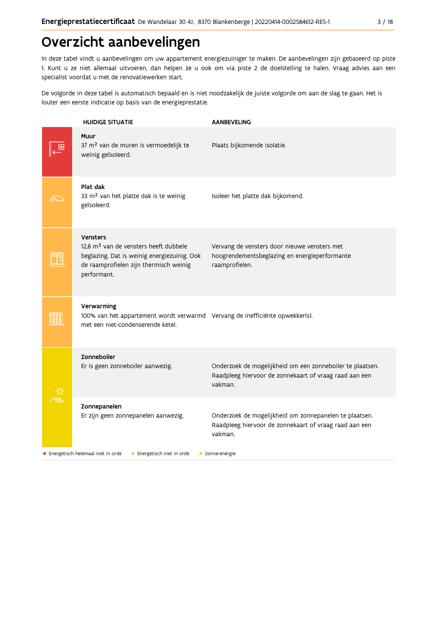# Overzicht aanbevelingen

In deze tabel vindt u aanbevelingen om uw appartement energiezuiniger te maken. De aanbevelingen zijn gebaseerd op piste 1. Kunt u ze niet allemaal uitvoeren, dan helpen ze u ook om via piste 2 de doelstelling te halen. Vraag advies aan een specialist voordat u met de renovatiewerken start.

De volgorde in deze tabel is automatisch bepaald en is niet noodzakelijk de juiste volgorde om aan de slag te gaan. Het is louter een eerste indicatie op basis van de energieprestatie.

| <b>HUIDIGE SITUATIE</b>                                                                                                                                                      | <b>AANBEVELING</b>                                                                                                             |
|------------------------------------------------------------------------------------------------------------------------------------------------------------------------------|--------------------------------------------------------------------------------------------------------------------------------|
| Muur<br>37 m <sup>2</sup> van de muren is vermoedelijk te<br>weinig geïsoleerd.                                                                                              | Plaats bijkomende isolatie.                                                                                                    |
| Plat dak<br>33 m <sup>2</sup> van het platte dak is te weinig<br>geïsoleerd.                                                                                                 | Isoleer het platte dak bijkomend.                                                                                              |
| <b>Vensters</b><br>12,8 m <sup>2</sup> van de vensters heeft dubbele<br>beglazing. Dat is weinig energiezuinig. Ook<br>de raamprofielen zijn thermisch weinig<br>performant. | Vervang de vensters door nieuwe vensters met<br>hoogrendementsbeglazing en energieperformante<br>raamprofielen.                |
| Verwarming<br>100% van het appartement wordt verwarmd Vervang de inefficiënte opwekker(s).<br>met een niet-condenserende ketel.                                              |                                                                                                                                |
| Zonneboiler<br>Er is geen zonneboiler aanwezig.                                                                                                                              | Onderzoek de mogelijkheid om een zonneboiler te plaatsen.<br>Raadpleeg hiervoor de zonnekaart of vraag raad aan een<br>vakman. |
| Zonnepanelen<br>Er zijn geen zonnepanelen aanwezig.                                                                                                                          | Onderzoek de mogelijkheid om zonnepanelen te plaatsen.<br>Raadpleeg hiervoor de zonnekaart of vraag raad aan een<br>vakman.    |
| • Energetisch helemaal niet in orde<br>• Energetisch niet in orde                                                                                                            | • Zonne-energie                                                                                                                |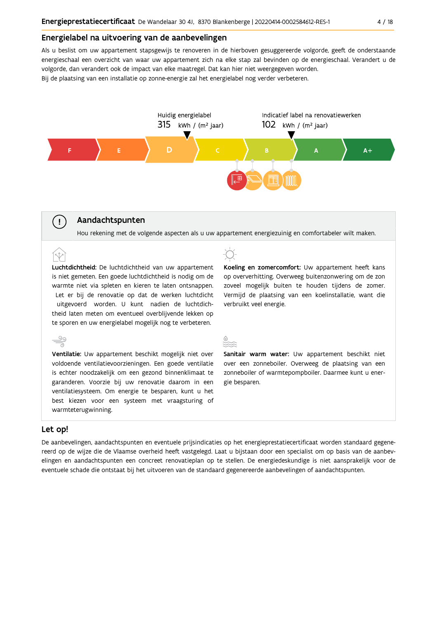#### Energielabel na uitvoering van de aanbevelingen

Als u beslist om uw appartement stapsgewijs te renoveren in de hierboven gesuggereerde volgorde, geeft de onderstaande energieschaal een overzicht van waar uw appartement zich na elke stap zal bevinden op de energieschaal. Verandert u de volgorde, dan verandert ook de impact van elke maatregel. Dat kan hier niet weergegeven worden. Bij de plaatsing van een installatie op zonne-energie zal het energielabel nog verder verbeteren.



### Aandachtspunten

Hou rekening met de volgende aspecten als u uw appartement energiezuinig en comfortabeler wilt maken.

Luchtdichtheid: De luchtdichtheid van uw appartement is niet gemeten. Een goede luchtdichtheid is nodig om de warmte niet via spleten en kieren te laten ontsnappen. Let er bij de renovatie op dat de werken luchtdicht uitgevoerd worden. U kunt nadien de luchtdichtheid laten meten om eventueel overblijvende lekken op te sporen en uw energielabel mogelijk nog te verbeteren.

Ventilatie: Uw appartement beschikt mogelijk niet over voldoende ventilatievoorzieningen. Een goede ventilatie is echter noodzakelijk om een gezond binnenklimaat te garanderen. Voorzie bij uw renovatie daarom in een ventilatiesysteem. Om energie te besparen, kunt u het best kiezen voor een systeem met vraagsturing of warmteterugwinning.

Koeling en zomercomfort: Uw appartement heeft kans op oververhitting. Overweeg buitenzonwering om de zon zoveel mogelijk buiten te houden tijdens de zomer. Vermijd de plaatsing van een koelinstallatie, want die verbruikt veel energie.

Sanitair warm water: Uw appartement beschikt niet over een zonneboiler. Overweeg de plaatsing van een zonneboiler of warmtepompboiler. Daarmee kunt u energie besparen.

#### Let op!

 $\overset{\circ}{=}$ 

 $\left(\cdot\right)$ 

De aanbevelingen, aandachtspunten en eventuele prijsindicaties op het energieprestatiecertificaat worden standaard gegenereerd op de wijze die de Vlaamse overheid heeft vastgelegd. Laat u bijstaan door een specialist om op basis van de aanbevelingen en aandachtspunten een concreet renovatieplan op te stellen. De energiedeskundige is niet aansprakelijk voor de eventuele schade die ontstaat bij het uitvoeren van de standaard gegenereerde aanbevelingen of aandachtspunten.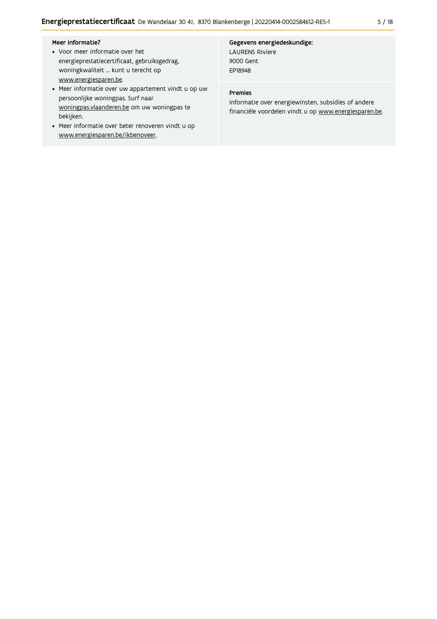#### Meer informatie?

- Voor meer informatie over het energieprestatiecertificaat, gebruiksgedrag, woningkwaliteit ... kunt u terecht op www.energiesparen.be.
- Meer informatie over uw appartement vindt u op uw persoonlijke woningpas. Surf naar woningpas.vlaanderen.be om uw woningpas te bekijken.
- Meer informatie over beter renoveren vindt u op www.energiesparen.be/ikbenoveer.

# Gegevens energiedeskundige:

**LAURENS Riviere** 9000 Gent EP18948

#### Premies

Informatie over energiewinsten, subsidies of andere financiële voordelen vindt u op www.energiesparen.be.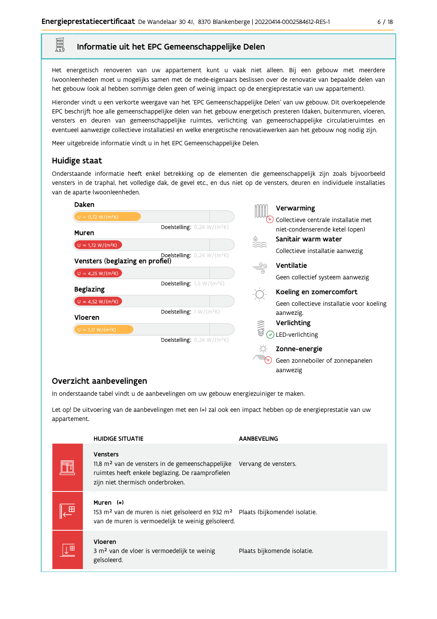#### Informatie uit het EPC Gemeenschappelijke Delen

Het energetisch renoveren van uw appartement kunt u vaak niet alleen. Bij een gebouw met meerdere (woon)eenheden moet u mogelijks samen met de mede-eigenaars beslissen over de renovatie van bepaalde delen van het gebouw (ook al hebben sommige delen geen of weinig impact op de energieprestatie van uw appartement).

Hieronder vindt u een verkorte weergave van het 'EPC Gemeenschappelijke Delen' van uw gebouw. Dit overkoepelende EPC beschrijft hoe alle gemeenschappelijke delen van het gebouw energetisch presteren (daken, buitenmuren, vloeren, vensters en deuren van gemeenschappelijke ruimtes, verlichting van gemeenschappelijke circulatieruimtes en eventueel aanwezige collectieve installaties) en welke energetische renovatiewerken aan het gebouw nog nodig zijn.

Meer uitgebreide informatie vindt u in het EPC Gemeenschappelijke Delen.

#### Huidige staat

E

Onderstaande informatie heeft enkel betrekking op de elementen die gemeenschappelijk zijn zoals bijvoorbeeld vensters in de traphal, het volledige dak, de gevel etc., en dus niet op de vensters, deuren en individuele installaties van de aparte (woon)eenheden.

| Daken                           |                                                  | Verwarming                                |
|---------------------------------|--------------------------------------------------|-------------------------------------------|
| $U = 0,72 W/(m^2K)$             |                                                  | Collectieve centrale installatie met      |
| Muren                           | <b>Doelstelling:</b> $0,24 \text{ W/(m²K)}$      | niet-condenserende ketel (open)           |
|                                 |                                                  | Sanitair warm water<br>▒                  |
| $U = 1,72 W/(m^2K)$             | <b>Doelstelling:</b> $0,24$ W/(m <sup>2</sup> K) | Collectieve installatie aanwezig          |
| Vensters (beglazing en profiel) |                                                  | Ventilatie                                |
| $U = 4,25 W/(m^2K)$             |                                                  | Geen collectief systeem aanwezig          |
| <b>Beglazing</b>                | <b>Doelstelling:</b> $1,5 \text{ W/(m2K)}$       | Koeling en zomercomfort                   |
| $U = 4,52 W/(m^2K)$             |                                                  | Geen collectieve installatie voor koeling |
|                                 | Doelstelling: $1 W/(m^2K)$                       | aanwezig.                                 |
| Vloeren                         |                                                  | Verlichting                               |
| $U = 1,17 W/(m^2K)$             | <b>Doelstelling:</b> $0,24 \text{ W/(m²K)}$      | <b>40公司</b><br>LED-verlichting            |
|                                 |                                                  | Zonne-energie                             |
|                                 |                                                  | Geen zonneboiler of zonnepanelen          |
|                                 |                                                  | aanwezig                                  |

### Overzicht aanbevelingen

In onderstaande tabel vindt u de aanbevelingen om uw gebouw energiezuiniger te maken.

Let op! De uitvoering van de aanbevelingen met een (\*) zal ook een impact hebben op de energieprestatie van uw appartement.

|              | <b>HUIDIGE SITUATIE</b>                                                                                                                                                   | <b>AANBEVELING</b>          |
|--------------|---------------------------------------------------------------------------------------------------------------------------------------------------------------------------|-----------------------------|
|              | <b>Vensters</b><br>$11,8$ m <sup>2</sup> van de vensters in de gemeenschappelijke<br>ruimtes heeft enkele beglazing. De raamprofielen<br>zijn niet thermisch onderbroken. | Vervang de vensters.        |
| $\mathbf{H}$ | Muren (*)<br>153 m <sup>2</sup> van de muren is niet geïsoleerd en 932 m <sup>2</sup> Plaats (bijkomende) isolatie.<br>van de muren is vermoedelijk te weinig geïsoleerd. |                             |
| 心            | Vloeren<br>3 m <sup>2</sup> van de vloer is vermoedelijk te weinig<br>geïsoleerd.                                                                                         | Plaats bijkomende isolatie. |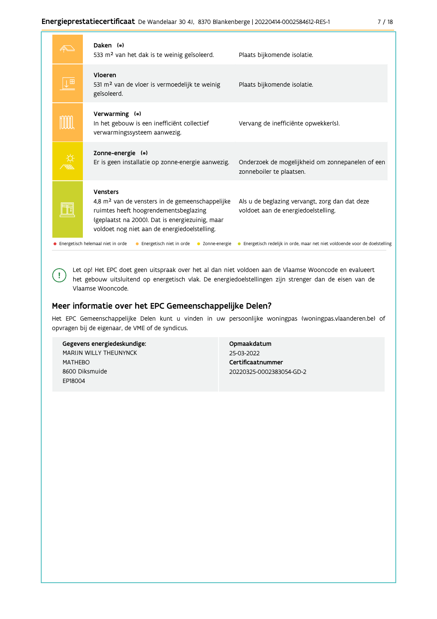| ×<br>۰. |
|---------|
|         |

| Daken (*)<br>533 m <sup>2</sup> van het dak is te weinig geïsoleerd.                                                                                                                                                | Plaats bijkomende isolatie.                                                           |
|---------------------------------------------------------------------------------------------------------------------------------------------------------------------------------------------------------------------|---------------------------------------------------------------------------------------|
| Vloeren<br>531 m <sup>2</sup> van de vloer is vermoedelijk te weinig<br>geïsoleerd.                                                                                                                                 | Plaats bijkomende isolatie.                                                           |
| Verwarming (*)<br>In het gebouw is een inefficiënt collectief<br>verwarmingssysteem aanwezig.                                                                                                                       | Vervang de inefficiënte opwekker(s).                                                  |
| Zonne-energie (*)<br>Er is geen installatie op zonne-energie aanwezig.                                                                                                                                              | Onderzoek de mogelijkheid om zonnepanelen of een<br>zonneboiler te plaatsen.          |
| Vensters<br>4,8 m <sup>2</sup> van de vensters in de gemeenschappelijke<br>ruimtes heeft hoogrendementsbeglazing<br>(geplaatst na 2000). Dat is energiezuinig, maar<br>voldoet nog niet aan de energiedoelstelling. | Als u de beglazing vervangt, zorg dan dat deze<br>voldoet aan de energiedoelstelling. |
| Energetisch helemaal niet in orde<br>Energetisch niet in orde<br>• Zonne-energie                                                                                                                                    | • Energetisch redelijk in orde, maar net niet voldoende voor de doelstelling          |

Let op! Het EPC doet geen uitspraak over het al dan niet voldoen aan de Vlaamse Wooncode en evalueert het gebouw uitsluitend op energetisch vlak. De energiedoelstellingen zijn strenger dan de eisen van de Vlaamse Wooncode.

### Meer informatie over het EPC Gemeenschappelijke Delen?

Het EPC Gemeenschappelijke Delen kunt u vinden in uw persoonlijke woningpas (woningpas.vlaanderen.be) of opvragen bij de eigenaar, de VME of de syndicus.

Gegevens energiedeskundige: MARIJN WILLY THEUNYNCK **MATHFRO** 8600 Diksmuide EP18004

 $\left( \ \cdot \right)$ 

Opmaakdatum 25-03-2022 Certificaatnummer 20220325-0002383054-GD-2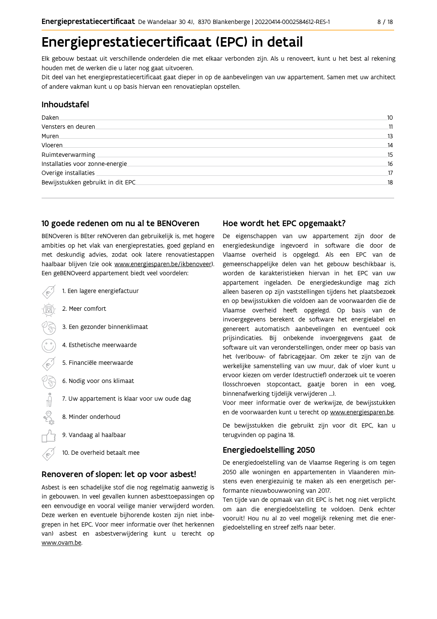# Energieprestatiecertificaat (EPC) in detail

Elk gebouw bestaat uit verschillende onderdelen die met elkaar verbonden zijn. Als u renoveert, kunt u het best al rekening houden met de werken die u later nog gaat uitvoeren.

Dit deel van het energieprestatiecertificaat gaat dieper in op de aanbevelingen van uw appartement. Samen met uw architect of andere vakman kunt u op basis hiervan een renovatieplan opstellen.

### Inhoudstafel

| Daken.                            | 10 |
|-----------------------------------|----|
| Vensters en deuren                | 11 |
| Muren.                            | 13 |
| Vloeren                           | 14 |
| Ruimteverwarming                  | 15 |
| Installaties voor zonne-energie.  | 16 |
| Overige installaties              | 17 |
| Bewijsstukken gebruikt in dit EPC | 18 |
|                                   |    |

#### 10 goede redenen om nu al te BENOveren

BENOveren is BEter reNOveren dan gebruikelijk is, met hogere ambities op het vlak van energieprestaties, goed gepland en met deskundig advies, zodat ook latere renovatiestappen haalbaar blijven (zie ook www.energiesparen.be/ikbenoveer). Een geBENOveerd appartement biedt veel voordelen:

|   | 1. Een lagere energiefactuur                |
|---|---------------------------------------------|
|   | 2. Meer comfort                             |
|   | 3. Een gezonder binnenklimaat               |
|   | 4. Esthetische meerwaarde                   |
| ĸ | 5. Financiële meerwaarde                    |
|   | 6. Nodig voor ons klimaat                   |
|   | 7. Uw appartement is klaar voor uw oude dag |
|   | 8. Minder onderhoud                         |
|   | 9. Vandaag al haalbaar                      |
|   | 10. De overheid betaalt mee                 |

### Renoveren of slopen: let op voor asbest!

Asbest is een schadelijke stof die nog regelmatig aanwezig is in gebouwen. In veel gevallen kunnen asbesttoepassingen op een eenvoudige en vooral veilige manier verwijderd worden. Deze werken en eventuele bijhorende kosten zijn niet inbegrepen in het EPC. Voor meer informatie over (het herkennen van) asbest en asbestverwijdering kunt u terecht op www.ovam.be.

### Hoe wordt het EPC opgemaakt?

De eigenschappen van uw appartement zijn door de energiedeskundige ingevoerd in software die door de Vlaamse overheid is opgelegd. Als een EPC van de gemeenschappelijke delen van het gebouw beschikbaar is, worden de karakteristieken hiervan in het EPC van uw appartement ingeladen. De energiedeskundige mag zich alleen baseren op zijn vaststellingen tijdens het plaatsbezoek en op bewijsstukken die voldoen aan de voorwaarden die de Vlaamse overheid heeft opgelegd. Op basis van de invoergegevens berekent de software het energielabel en genereert automatisch aanbevelingen en eventueel ook prijsindicaties. Bij onbekende invoergegevens gaat de software uit van veronderstellingen, onder meer op basis van het (ver)bouw- of fabricagejaar. Om zeker te zijn van de werkelijke samenstelling van uw muur, dak of vloer kunt u ervoor kiezen om verder (destructief) onderzoek uit te voeren (losschroeven stopcontact, gaatje boren in een voeg, binnenafwerking tijdelijk verwijderen ...).

Voor meer informatie over de werkwijze, de bewijsstukken en de voorwaarden kunt u terecht op www.energiesparen.be.

De bewijsstukken die gebruikt zijn voor dit EPC, kan u terugvinden op pagina 18.

### **Energiedoelstelling 2050**

De energiedoelstelling van de Vlaamse Regering is om tegen 2050 alle woningen en appartementen in Vlaanderen minstens even energiezuinig te maken als een energetisch performante nieuwbouwwoning van 2017.

Ten tijde van de opmaak van dit EPC is het nog niet verplicht om aan die energiedoelstelling te voldoen. Denk echter vooruit! Hou nu al zo veel mogelijk rekening met die energiedoelstelling en streef zelfs naar beter.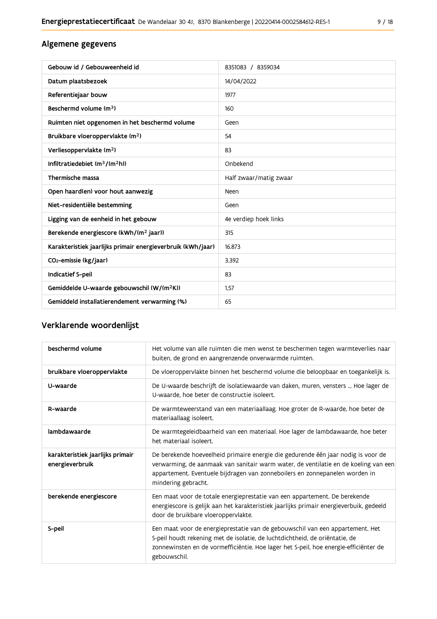# Algemene gegevens

| Gebouw id / Gebouweenheid id                                | 8351083 / 8359034      |
|-------------------------------------------------------------|------------------------|
| Datum plaatsbezoek                                          | 14/04/2022             |
| Referentiejaar bouw                                         | 1977                   |
| Beschermd volume (m <sup>3</sup> )                          | 160                    |
| Ruimten niet opgenomen in het beschermd volume              | Geen                   |
| Bruikbare vloeroppervlakte (m <sup>2</sup> )                | 54                     |
| Verliesoppervlakte (m <sup>2</sup> )                        | 83                     |
| Infiltratiedebiet $(m^3/(m^2h))$                            | Onbekend               |
| Thermische massa                                            | Half zwaar/matig zwaar |
| Open haard(en) voor hout aanwezig                           | Neen                   |
| Niet-residentiële bestemming                                | Geen                   |
| Ligging van de eenheid in het gebouw                        | 4e verdiep hoek links  |
| Berekende energiescore (kWh/(m <sup>2</sup> jaar))          | 315                    |
| Karakteristiek jaarlijks primair energieverbruik (kWh/jaar) | 16.873                 |
| CO <sub>2</sub> -emissie (kg/jaar)                          | 3.392                  |
| Indicatief S-peil                                           | 83                     |
| Gemiddelde U-waarde gebouwschil (W/(m <sup>2</sup> K))      | 1,57                   |
| Gemiddeld installatierendement verwarming (%)               | 65                     |

# Verklarende woordenlijst

| beschermd volume                                    | Het volume van alle ruimten die men wenst te beschermen tegen warmteverlies naar<br>buiten, de grond en aangrenzende onverwarmde ruimten.                                                                                                                                      |
|-----------------------------------------------------|--------------------------------------------------------------------------------------------------------------------------------------------------------------------------------------------------------------------------------------------------------------------------------|
| bruikbare vloeroppervlakte                          | De vloeroppervlakte binnen het beschermd volume die beloopbaar en toegankelijk is.                                                                                                                                                                                             |
| U-waarde                                            | De U-waarde beschrijft de isolatiewaarde van daken, muren, vensters  Hoe lager de<br>U-waarde, hoe beter de constructie isoleert.                                                                                                                                              |
| R-waarde                                            | De warmteweerstand van een materiaallaag. Hoe groter de R-waarde, hoe beter de<br>materiaallaag isoleert.                                                                                                                                                                      |
| lambdawaarde                                        | De warmtegeleidbaarheid van een materiaal. Hoe lager de lambdawaarde, hoe beter<br>het materiaal isoleert.                                                                                                                                                                     |
| karakteristiek jaarlijks primair<br>energieverbruik | De berekende hoeveelheid primaire energie die gedurende één jaar nodig is voor de<br>verwarming, de aanmaak van sanitair warm water, de ventilatie en de koeling van een<br>appartement. Eventuele bijdragen van zonneboilers en zonnepanelen worden in<br>mindering gebracht. |
| berekende energiescore                              | Een maat voor de totale energieprestatie van een appartement. De berekende<br>energiescore is gelijk aan het karakteristiek jaarlijks primair energieverbuik, gedeeld<br>door de bruikbare vloeroppervlakte.                                                                   |
| S-peil                                              | Een maat voor de energieprestatie van de gebouwschil van een appartement. Het<br>S-peil houdt rekening met de isolatie, de luchtdichtheid, de oriëntatie, de<br>zonnewinsten en de vormefficiëntie. Hoe lager het S-peil, hoe energie-efficiënter de<br>gebouwschil.           |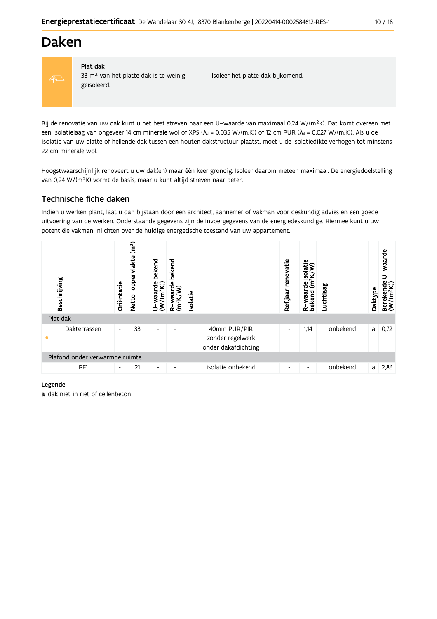# **Daken**



#### Plat dak

33 m<sup>2</sup> van het platte dak is te weinig geïsoleerd.

Isoleer het platte dak bijkomend.

Bij de renovatie van uw dak kunt u het best streven naar een U-waarde van maximaal 0,24 W/(m<sup>2</sup>K). Dat komt overeen met een isolatielaag van ongeveer 14 cm minerale wol of XPS ( $\lambda_d$  = 0,035 W/(m.K)) of 12 cm PUR ( $\lambda_d$  = 0,027 W/(m.K)). Als u de isolatie van uw platte of hellende dak tussen een houten dakstructuur plaatst, moet u de isolatiedikte verhogen tot minstens 22 cm minerale wol.

Hoogstwaarschijnlijk renoveert u uw dak(en) maar één keer grondig. Isoleer daarom meteen maximaal. De energiedoelstelling van 0,24 W/(m<sup>2</sup>K) vormt de basis, maar u kunt altijd streven naar beter.

## Technische fiche daken

Indien u werken plant, laat u dan bijstaan door een architect, aannemer of vakman voor deskundig advies en een goede uitvoering van de werken. Onderstaande gegevens zijn de invoergegevens van de energiedeskundige. Hiermee kunt u uw potentiële vakman inlichten over de huidige energetische toestand van uw appartement.

|           | Beschrijving                   | Oriëntatie               | (m <sup>2</sup> )<br>vlakte<br>opper<br><b>Netto</b> | bekend<br>ັັ⊌ອ<br>waai   | bekend<br>မို<br>Ê       | Isolatie |                                                         | renovatie<br>Ref jaar    | Φ<br>solati<br>$\widetilde{\mathsf{E}}$<br>옴<br>R-waar<br>bekend | Luchtlaag | Daktype | waarde<br>ဗိ<br>Berekende<br>(W/(m <sup>2</sup> K)) |
|-----------|--------------------------------|--------------------------|------------------------------------------------------|--------------------------|--------------------------|----------|---------------------------------------------------------|--------------------------|------------------------------------------------------------------|-----------|---------|-----------------------------------------------------|
|           | Plat dak                       |                          |                                                      |                          |                          |          |                                                         |                          |                                                                  |           |         |                                                     |
| $\bullet$ | Dakterrassen                   | $\blacksquare$           | 33                                                   | $\overline{\phantom{a}}$ | $\overline{\phantom{0}}$ |          | 40mm PUR/PIR<br>zonder regelwerk<br>onder dakafdichting | $\overline{\phantom{a}}$ | 1,14                                                             | onbekend  | a       | 0,72                                                |
|           | Plafond onder verwarmde ruimte |                          |                                                      |                          |                          |          |                                                         |                          |                                                                  |           |         |                                                     |
|           | PF1                            | $\overline{\phantom{a}}$ | 21                                                   | $\overline{\phantom{a}}$ | ۰                        |          | isolatie onbekend                                       | ٠                        | ٠                                                                | onbekend  | a       | 2,86                                                |

#### Legende

a dak niet in riet of cellenbeton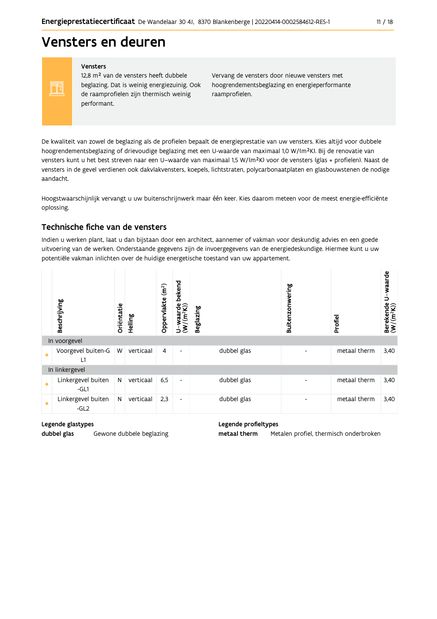# Vensters en deuren

Vensters

FF

12,8 m<sup>2</sup> van de vensters heeft dubbele beglazing. Dat is weinig energiezuinig. Ook de raamprofielen zijn thermisch weinig performant.

Vervang de vensters door nieuwe vensters met hoogrendementsbeglazing en energieperformante raamprofielen.

De kwaliteit van zowel de beglazing als de profielen bepaalt de energieprestatie van uw vensters. Kies altijd voor dubbele hoogrendementsbeglazing of drievoudige beglazing met een U-waarde van maximaal 1,0 W/(m<sup>2</sup>K). Bij de renovatie van vensters kunt u het best streven naar een U-waarde van maximaal 1,5 W/(m<sup>2</sup>K) voor de vensters (glas + profielen). Naast de vensters in de gevel verdienen ook dakvlakvensters, koepels, lichtstraten, polycarbonaatplaten en glasbouwstenen de nodige aandacht.

Hoogstwaarschijnlijk vervangt u uw buitenschrijnwerk maar één keer. Kies daarom meteen voor de meest energie-efficiënte oplossing.

### Technische fiche van de vensters

Indien u werken plant, laat u dan bijstaan door een architect, aannemer of vakman voor deskundig advies en een goede uitvoering van de werken. Onderstaande gegevens zijn de invoergegevens van de energiedeskundige. Hiermee kunt u uw potentiële vakman inlichten over de huidige energetische toestand van uw appartement.

|           | Beschrijving                 | Oriëntatie | Helling   | (m <sup>2</sup> )<br>Oppervlakte | bekend<br>$U$ –waarde<br>(W/(m <sup>2</sup> K)) | <b>Beglazing</b> | Buitenzonwering | Profiel      | Berekende U-waarde<br>(W/(m <sup>2</sup> K)) |
|-----------|------------------------------|------------|-----------|----------------------------------|-------------------------------------------------|------------------|-----------------|--------------|----------------------------------------------|
|           | In voorgevel                 |            |           |                                  |                                                 |                  |                 |              |                                              |
| $\bullet$ | Voorgevel buiten-G<br>L1     | W          | verticaal | 4                                | $\overline{\phantom{a}}$                        | dubbel glas      |                 | metaal therm | 3,40                                         |
|           | In linkergevel               |            |           |                                  |                                                 |                  |                 |              |                                              |
| $\bullet$ | Linkergevel buiten<br>$-GL1$ | N          | verticaal | 6,5                              | $\overline{\phantom{a}}$                        | dubbel glas      |                 | metaal therm | 3,40                                         |
| $\bullet$ | Linkergevel buiten<br>$-GL2$ | N          | verticaal | 2,3                              | $\overline{\phantom{a}}$                        | dubbel glas      |                 | metaal therm | 3,40                                         |

Legende glastypes

Gewone dubbele beglazing

dubbel glas

Legende profieltypes

metaal therm Metalen profiel, thermisch onderbroken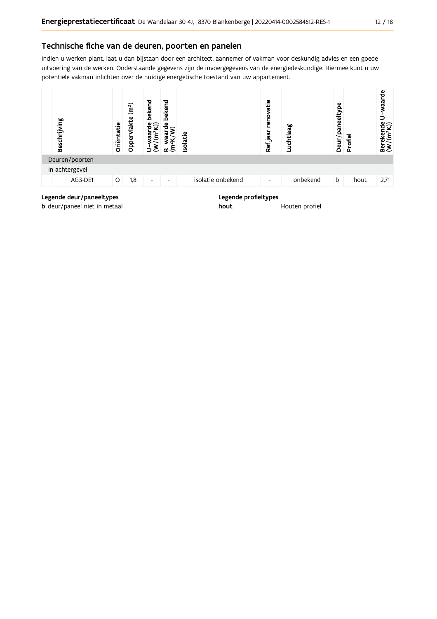### Technische fiche van de deuren, poorten en panelen

Indien u werken plant, laat u dan bijstaan door een architect, aannemer of vakman voor deskundig advies en een goede uitvoering van de werken. Onderstaande gegevens zijn de invoergegevens van de energiedeskundige. Hiermee kunt u uw potentiële vakman inlichten over de huidige energetische toestand van uw appartement.



**b** deur/paneel niet in metaal

Houten profiel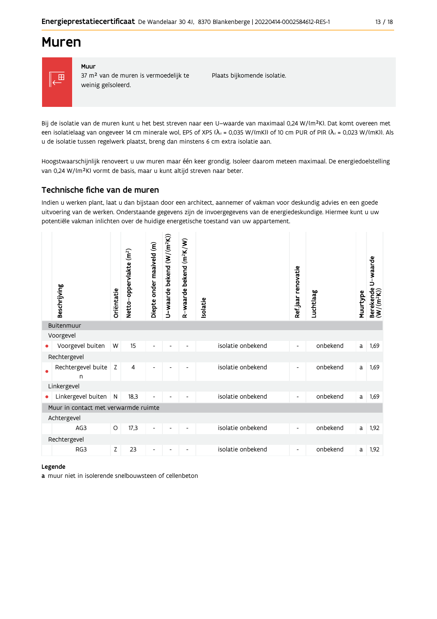# **Muren**



#### Muur 37 m<sup>2</sup> van de muren is vermoedelijk te weinig geïsoleerd.

Plaats bijkomende isolatie.

Bij de isolatie van de muren kunt u het best streven naar een U-waarde van maximaal 0,24 W/(m<sup>2</sup>K). Dat komt overeen met een isolatielaag van ongeveer 14 cm minerale wol, EPS of XPS ( $\lambda$ <sub>d</sub> = 0,035 W/(mK)) of 10 cm PUR of PIR ( $\lambda$ <sub>d</sub> = 0,023 W/(mK)). Als u de isolatie tussen regelwerk plaatst, breng dan minstens 6 cm extra isolatie aan.

Hoogstwaarschijnlijk renoveert u uw muren maar één keer grondig. Isoleer daarom meteen maximaal. De energiedoelstelling van 0,24 W/(m<sup>2</sup>K) vormt de basis, maar u kunt altijd streven naar beter.

## Technische fiche van de muren

Indien u werken plant, laat u dan bijstaan door een architect, aannemer of vakman voor deskundig advies en een goede uitvoering van de werken. Onderstaande gegevens zijn de invoergegevens van de energiedeskundige. Hiermee kunt u uw potentiële vakman inlichten over de huidige energetische toestand van uw appartement.

|            | Beschrijving                         | Oriëntatie   | Netto-oppervlakte (m <sup>2</sup> ) | Diepte onder maaiveld (m) | U-waarde bekend (W/(m <sup>2</sup> K)) | R-waarde bekend (m <sup>2</sup> K/W) | Isolatie |                   | Ref.jaar renovatie       | Luchtlaag | Muurtype | U-waarde<br>Berekende l<br>(W/(m <sup>2</sup> K)) |
|------------|--------------------------------------|--------------|-------------------------------------|---------------------------|----------------------------------------|--------------------------------------|----------|-------------------|--------------------------|-----------|----------|---------------------------------------------------|
| Buitenmuur |                                      |              |                                     |                           |                                        |                                      |          |                   |                          |           |          |                                                   |
|            | Voorgevel                            |              |                                     |                           |                                        |                                      |          |                   |                          |           |          |                                                   |
|            | Voorgevel buiten                     | W            | 15                                  | ۰                         |                                        |                                      |          | isolatie onbekend | $\overline{\phantom{a}}$ | onbekend  | a        | 1,69                                              |
|            | Rechtergevel                         |              |                                     |                           |                                        |                                      |          |                   |                          |           |          |                                                   |
|            | Rechtergevel buite<br>$\mathsf{n}$   | Z            | 4                                   | $\overline{\phantom{a}}$  |                                        | $\overline{\phantom{a}}$             |          | isolatie onbekend | $\overline{\phantom{a}}$ | onbekend  | a        | 1,69                                              |
|            | Linkergevel                          |              |                                     |                           |                                        |                                      |          |                   |                          |           |          |                                                   |
| ٠          | Linkergevel buiten                   | $\mathsf{N}$ | 18,3                                | ۰                         |                                        |                                      |          | isolatie onbekend | $\overline{\phantom{a}}$ | onbekend  | a        | 1,69                                              |
|            | Muur in contact met verwarmde ruimte |              |                                     |                           |                                        |                                      |          |                   |                          |           |          |                                                   |
|            | Achtergevel                          |              |                                     |                           |                                        |                                      |          |                   |                          |           |          |                                                   |
|            | AG3                                  | O            | 17,3                                | $\overline{\phantom{a}}$  |                                        |                                      |          | isolatie onbekend | -                        | onbekend  | a        | 1,92                                              |
|            | Rechtergevel                         |              |                                     |                           |                                        |                                      |          |                   |                          |           |          |                                                   |
|            | RG3                                  | Z            | 23                                  | $\overline{\phantom{a}}$  |                                        |                                      |          | isolatie onbekend | $\overline{\phantom{a}}$ | onbekend  | a        | 1,92                                              |

#### Legende

a muur niet in isolerende snelbouwsteen of cellenbeton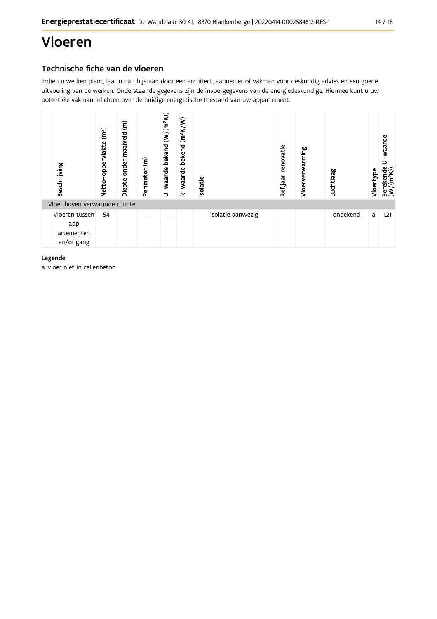# Vloeren

# Technische fiche van de vloeren

Indien u werken plant, laat u dan bijstaan door een architect, aannemer of vakman voor deskundig advies en een goede uitvoering van de werken. Onderstaande gegevens zijn de invoergegevens van de energiedeskundige. Hiermee kunt u uw potentiële vakman inlichten over de huidige energetische toestand van uw appartement.



#### Legende

a vloer niet in cellenbeton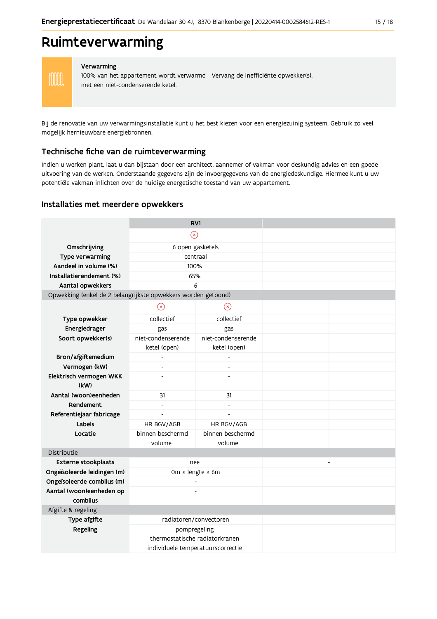# Ruimteverwarming

**MM** 

#### Verwarming

100% van het appartement wordt verwarmd Vervang de inefficiënte opwekker(s). met een niet-condenserende ketel.

Bij de renovatie van uw verwarmingsinstallatie kunt u het best kiezen voor een energiezuinig systeem. Gebruik zo veel mogelijk hernieuwbare energiebronnen.

#### Technische fiche van de ruimteverwarming

Indien u werken plant, laat u dan bijstaan door een architect, aannemer of vakman voor deskundig advies en een goede uitvoering van de werken. Onderstaande gegevens zijn de invoergegevens van de energiedeskundige. Hiermee kunt u uw potentiële vakman inlichten over de huidige energetische toestand van uw appartement.

#### Installaties met meerdere opwekkers

|                                                               | RV1                                            |                                   |  |                |
|---------------------------------------------------------------|------------------------------------------------|-----------------------------------|--|----------------|
|                                                               | $\circledR$                                    |                                   |  |                |
| Omschrijving                                                  | 6 open gasketels                               |                                   |  |                |
| Type verwarming                                               | centraal                                       |                                   |  |                |
| Aandeel in volume (%)                                         | 100%                                           |                                   |  |                |
| Installatierendement (%)                                      | 65%                                            |                                   |  |                |
| Aantal opwekkers                                              | 6                                              |                                   |  |                |
| Opwekking (enkel de 2 belangrijkste opwekkers worden getoond) |                                                |                                   |  |                |
|                                                               | $\circledR$                                    | $\circledR$                       |  |                |
| Type opwekker                                                 | collectief                                     | collectief                        |  |                |
| Energiedrager                                                 | gas                                            | gas                               |  |                |
| Soort opwekker(s)                                             | niet-condenserende                             | niet-condenserende                |  |                |
|                                                               | ketel (open)                                   | ketel (open)                      |  |                |
| Bron/afgiftemedium                                            |                                                |                                   |  |                |
| Vermogen (kW)                                                 |                                                |                                   |  |                |
| Elektrisch vermogen WKK<br>(kW)                               | $\overline{a}$                                 |                                   |  |                |
| Aantal (woon)eenheden                                         | 31                                             | 31                                |  |                |
| Rendement                                                     | $\blacksquare$                                 |                                   |  |                |
| Referentiejaar fabricage                                      | $\frac{1}{2}$                                  | $\overline{a}$                    |  |                |
| Labels                                                        | HR BGV/AGB                                     | HR BGV/AGB                        |  |                |
| Locatie                                                       | binnen beschermd                               | binnen beschermd                  |  |                |
|                                                               | volume                                         | volume                            |  |                |
| Distributie                                                   |                                                |                                   |  |                |
| <b>Externe stookplaats</b>                                    | nee                                            |                                   |  | $\overline{a}$ |
| Ongeïsoleerde leidingen (m)                                   | Om ≤ lengte ≤ 6m                               |                                   |  |                |
| Ongeïsoleerde combilus (m)                                    | $\overline{a}$                                 |                                   |  |                |
| Aantal (woon)eenheden op                                      |                                                |                                   |  |                |
| combilus                                                      |                                                |                                   |  |                |
| Afgifte & regeling                                            |                                                |                                   |  |                |
| Type afgifte                                                  | radiatoren/convectoren                         |                                   |  |                |
| Regeling                                                      | pompregeling<br>thermostatische radiatorkranen |                                   |  |                |
|                                                               |                                                | individuele temperatuurscorrectie |  |                |
|                                                               |                                                |                                   |  |                |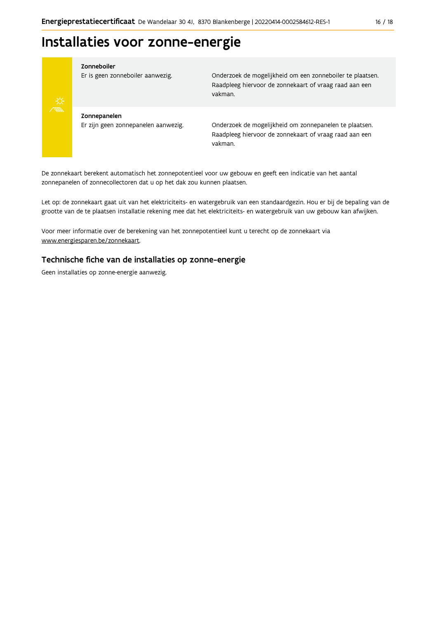# Installaties voor zonne-energie



#### Zonneboiler

Er is geen zonneboiler aanwezig.

Onderzoek de mogelijkheid om een zonneboiler te plaatsen. Raadpleeg hiervoor de zonnekaart of vraag raad aan een vakman.

Zonnepanelen Er zijn geen zonnepanelen aanwezig.

Onderzoek de mogelijkheid om zonnepanelen te plaatsen. Raadpleeg hiervoor de zonnekaart of vraag raad aan een vakman.

De zonnekaart berekent automatisch het zonnepotentieel voor uw gebouw en geeft een indicatie van het aantal zonnepanelen of zonnecollectoren dat u op het dak zou kunnen plaatsen.

Let op: de zonnekaart gaat uit van het elektriciteits- en watergebruik van een standaardgezin. Hou er bij de bepaling van de grootte van de te plaatsen installatie rekening mee dat het elektriciteits- en watergebruik van uw gebouw kan afwijken.

Voor meer informatie over de berekening van het zonnepotentieel kunt u terecht op de zonnekaart via www.energiesparen.be/zonnekaart.

### Technische fiche van de installaties op zonne-energie

Geen installaties op zonne-energie aanwezig.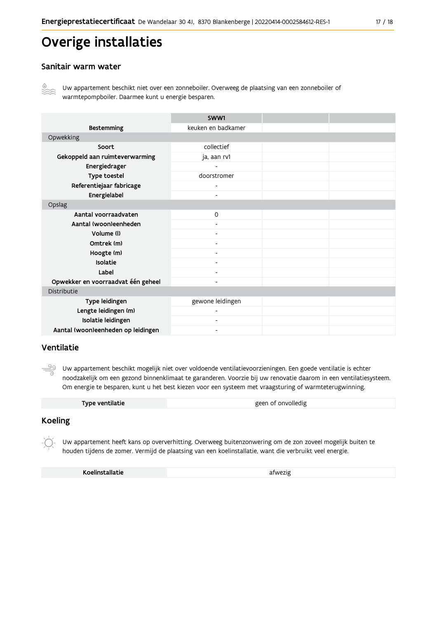# Overige installaties

### Sanitair warm water



Uw appartement beschikt niet over een zonneboiler. Overweeg de plaatsing van een zonneboiler of warmtepompboiler. Daarmee kunt u energie besparen.

|                                    | SWW1                     |  |
|------------------------------------|--------------------------|--|
| <b>Bestemming</b>                  | keuken en badkamer       |  |
| Opwekking                          |                          |  |
| Soort                              | collectief               |  |
| Gekoppeld aan ruimteverwarming     | ja, aan rv1              |  |
| Energiedrager                      |                          |  |
| Type toestel                       | doorstromer              |  |
| Referentiejaar fabricage           | $\overline{\phantom{0}}$ |  |
| Energielabel                       | $\overline{\phantom{0}}$ |  |
| Opslag                             |                          |  |
| Aantal voorraadvaten               | $\mathsf{O}$             |  |
| Aantal (woon)eenheden              |                          |  |
| Volume (I)                         | $\overline{\phantom{0}}$ |  |
| Omtrek (m)                         |                          |  |
| Hoogte (m)                         |                          |  |
| Isolatie                           | -                        |  |
| Label                              | $\overline{\phantom{0}}$ |  |
| Opwekker en voorraadvat één geheel | Ξ.                       |  |
| Distributie                        |                          |  |
| Type leidingen                     | gewone leidingen         |  |
| Lengte leidingen (m)               |                          |  |
| Isolatie leidingen                 | $\overline{\phantom{0}}$ |  |
| Aantal (woon)eenheden op leidingen |                          |  |

### Ventilatie

ூ Uw appartement beschikt mogelijk niet over voldoende ventilatievoorzieningen. Een goede ventilatie is echter noodzakelijk om een gezond binnenklimaat te garanderen. Voorzie bij uw renovatie daarom in een ventilatiesysteem. Om energie te besparen, kunt u het best kiezen voor een systeem met vraagsturing of warmteterugwinning.

| Type ventilatie | geen of onvolledig |
|-----------------|--------------------|
|                 |                    |

### **Koeling**

Uw appartement heeft kans op oververhitting. Overweeg buitenzonwering om de zon zoveel mogelijk buiten te houden tijdens de zomer. Vermijd de plaatsing van een koelinstallatie, want die verbruikt veel energie.

Koelinstallatie

afwezig